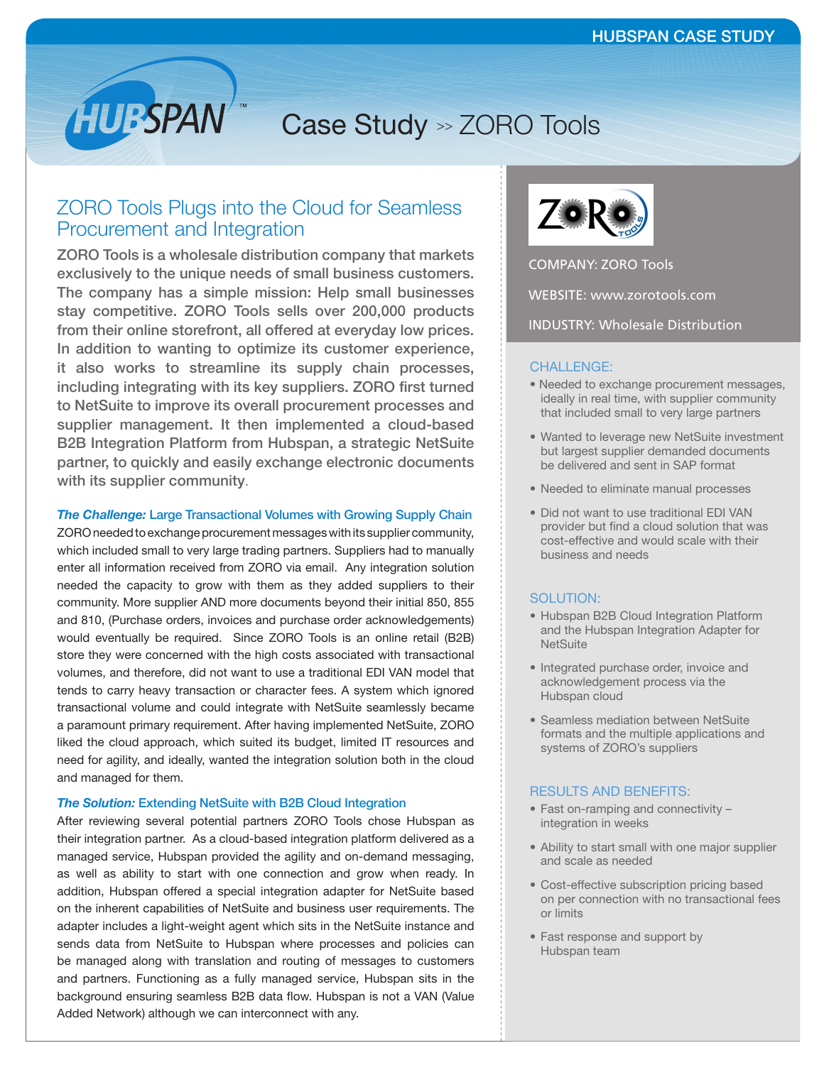# Case Study >> ZORO Tools

# ZORO Tools Plugs into the Cloud for Seamless Procurement and Integration

**HUBSPAN** 

ZORO Tools is a wholesale distribution company that markets exclusively to the unique needs of small business customers. The company has a simple mission: Help small businesses stay competitive. ZORO Tools sells over 200,000 products from their online storefront, all offered at everyday low prices. In addition to wanting to optimize its customer experience, it also works to streamline its supply chain processes, including integrating with its key suppliers. ZORO first turned to NetSuite to improve its overall procurement processes and supplier management. It then implemented a cloud-based B2B Integration Platform from Hubspan, a strategic NetSuite partner, to quickly and easily exchange electronic documents with its supplier community.

#### *The Challenge:* Large Transactional Volumes with Growing Supply Chain

ZORO needed to exchange procurement messages with its supplier community, which included small to very large trading partners. Suppliers had to manually enter all information received from ZORO via email. Any integration solution needed the capacity to grow with them as they added suppliers to their community. More supplier AND more documents beyond their initial 850, 855 and 810, (Purchase orders, invoices and purchase order acknowledgements) would eventually be required. Since ZORO Tools is an online retail (B2B) store they were concerned with the high costs associated with transactional volumes, and therefore, did not want to use a traditional EDI VAN model that tends to carry heavy transaction or character fees. A system which ignored transactional volume and could integrate with NetSuite seamlessly became a paramount primary requirement. After having implemented NetSuite, ZORO liked the cloud approach, which suited its budget, limited IT resources and need for agility, and ideally, wanted the integration solution both in the cloud and managed for them.

#### *The Solution:* Extending NetSuite with B2B Cloud Integration

After reviewing several potential partners ZORO Tools chose Hubspan as their integration partner. As a cloud-based integration platform delivered as a managed service, Hubspan provided the agility and on-demand messaging, as well as ability to start with one connection and grow when ready. In addition, Hubspan offered a special integration adapter for NetSuite based on the inherent capabilities of NetSuite and business user requirements. The adapter includes a light-weight agent which sits in the NetSuite instance and sends data from NetSuite to Hubspan where processes and policies can be managed along with translation and routing of messages to customers and partners. Functioning as a fully managed service, Hubspan sits in the background ensuring seamless B2B data flow. Hubspan is not a VAN (Value Added Network) although we can interconnect with any.



COMPANY: ZORO Tools

WEBSITE: www.zorotools.com

INDUSTRY: Wholesale Distribution

# CHALLENGE:

- Needed to exchange procurement messages, ideally in real time, with supplier community that included small to very large partners
- Wanted to leverage new NetSuite investment but largest supplier demanded documents be delivered and sent in SAP format
- Needed to eliminate manual processes
- Did not want to use traditional EDI VAN provider but find a cloud solution that was cost-effective and would scale with their business and needs

## SOLUTION:

- Hubspan B2B Cloud Integration Platform and the Hubspan Integration Adapter for **NetSuite**
- Integrated purchase order, invoice and acknowledgement process via the Hubspan cloud
- Seamless mediation between NetSuite formats and the multiple applications and systems of ZORO's suppliers

### RESULTS AND BENEFITS:

- Fast on-ramping and connectivity integration in weeks
- Ability to start small with one major supplier and scale as needed
- Cost-effective subscription pricing based on per connection with no transactional fees or limits
- Fast response and support by Hubspan team